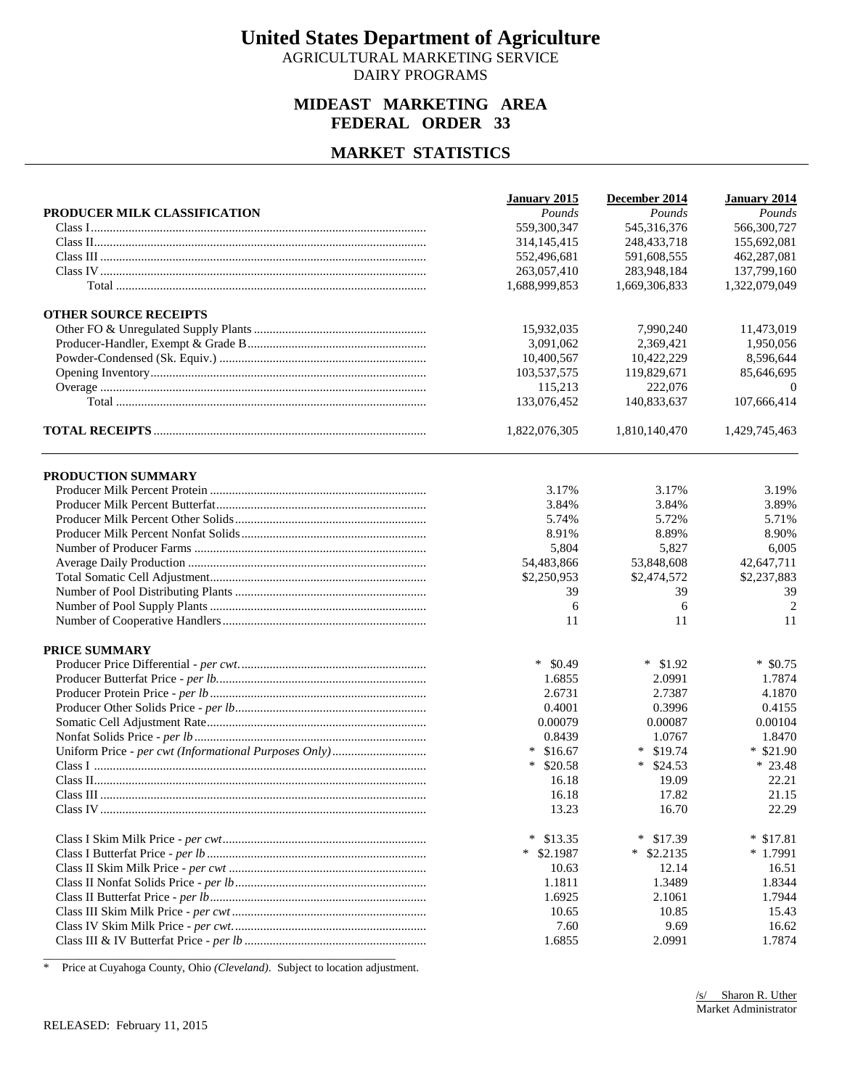AGRICULTURAL MARKETING SERVICE DAIRY PROGRAMS

#### **MIDEAST MARKETING AREA FEDERAL ORDER 33**

#### **MARKET STATISTICS**

|                              | January 2015      | December 2014     | January 2014  |
|------------------------------|-------------------|-------------------|---------------|
| PRODUCER MILK CLASSIFICATION | Pounds            | Pounds            | Pounds        |
|                              | 559,300,347       | 545,316,376       | 566,300,727   |
|                              | 314, 145, 415     | 248, 433, 718     | 155,692,081   |
|                              | 552,496,681       | 591,608,555       | 462,287,081   |
|                              | 263,057,410       | 283,948,184       | 137,799,160   |
|                              | 1,688,999,853     | 1,669,306,833     | 1,322,079,049 |
| <b>OTHER SOURCE RECEIPTS</b> |                   |                   |               |
|                              | 15,932,035        | 7,990,240         | 11,473,019    |
|                              | 3,091,062         | 2,369,421         | 1,950,056     |
|                              | 10,400,567        | 10,422,229        | 8,596,644     |
|                              | 103,537,575       | 119,829,671       | 85,646,695    |
|                              | 115,213           | 222,076           | $\theta$      |
|                              | 133,076,452       | 140,833,637       | 107,666,414   |
|                              | 1,822,076,305     | 1,810,140,470     | 1,429,745,463 |
| PRODUCTION SUMMARY           |                   |                   |               |
|                              | 3.17%             | 3.17%             | 3.19%         |
|                              | 3.84%             | 3.84%             | 3.89%         |
|                              | 5.74%             | 5.72%             | 5.71%         |
|                              | 8.91%             | 8.89%             | 8.90%         |
|                              | 5,804             | 5,827             | 6,005         |
|                              | 54,483,866        | 53,848,608        | 42,647,711    |
|                              | \$2,250,953       | \$2,474,572       | \$2,237,883   |
|                              | 39                | 39                | 39            |
|                              | 6                 | 6                 | 2             |
|                              | 11                | 11                | 11            |
| PRICE SUMMARY                |                   |                   |               |
|                              | $*$ \$0.49        | $*$ \$1.92        | $*$ \$0.75    |
|                              | 1.6855            | 2.0991            | 1.7874        |
|                              | 2.6731            | 2.7387            | 4.1870        |
|                              | 0.4001            | 0.3996            | 0.4155        |
|                              | 0.00079           | 0.00087           | 0.00104       |
|                              | 0.8439            | 1.0767            | 1.8470        |
|                              | $*$ \$16.67       | $*$ \$19.74       | $*$ \$21.90   |
|                              | $*$ \$20.58       | $*$ \$24.53       | $* 23.48$     |
|                              | 16.18             | 19.09             | 22.21         |
|                              | 16.18             | 17.82             | 21.15         |
|                              | 13.23             | 16.70             | 22.29         |
|                              | $\ast$<br>\$13.35 | \$17.39<br>$\ast$ | $*$ \$17.81   |
|                              | $*$ \$2.1987      | $*$ \$2.2135      | $*1.7991$     |
|                              | 10.63             | 12.14             | 16.51         |
|                              | 1.1811            | 1.3489            | 1.8344        |
|                              | 1.6925            | 2.1061            | 1.7944        |
|                              | 10.65             | 10.85             | 15.43         |
|                              | 7.60              | 9.69              | 16.62         |
|                              | 1.6855            | 2.0991            | 1.7874        |

\* Price at Cuyahoga County, Ohio *(Cleveland)*. Subject to location adjustment.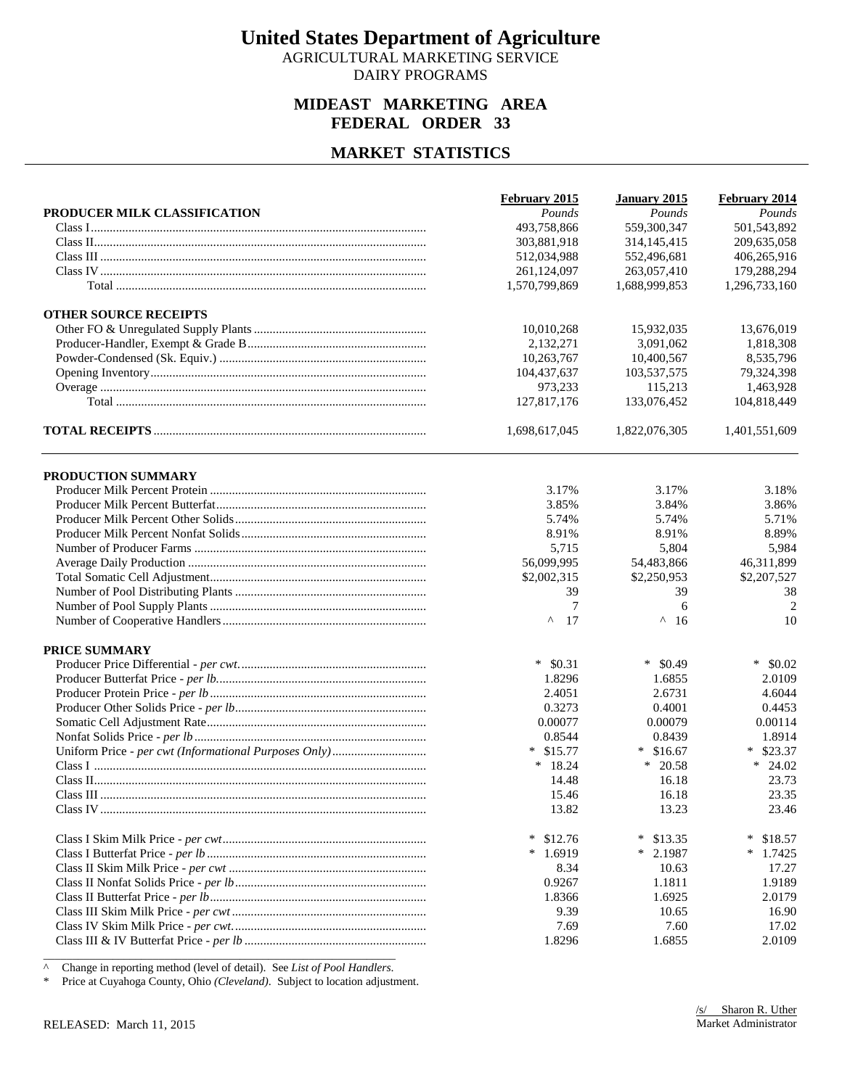AGRICULTURAL MARKETING SERVICE DAIRY PROGRAMS

#### **MIDEAST MARKETING AREA FEDERAL ORDER 33**

#### **MARKET STATISTICS**

|                              | February 2015     | January 2015      | February 2014     |
|------------------------------|-------------------|-------------------|-------------------|
| PRODUCER MILK CLASSIFICATION | Pounds            | Pounds            | Pounds            |
|                              | 493,758,866       | 559,300,347       | 501,543,892       |
|                              | 303,881,918       | 314, 145, 415     | 209,635,058       |
|                              | 512,034,988       | 552,496,681       | 406,265,916       |
|                              | 261,124,097       | 263,057,410       | 179,288,294       |
|                              | 1,570,799,869     | 1,688,999,853     | 1,296,733,160     |
| <b>OTHER SOURCE RECEIPTS</b> |                   |                   |                   |
|                              | 10,010,268        | 15,932,035        | 13,676,019        |
|                              | 2,132,271         | 3,091,062         | 1,818,308         |
|                              | 10,263,767        | 10,400,567        | 8,535,796         |
|                              | 104,437,637       | 103,537,575       | 79,324,398        |
|                              | 973,233           | 115,213           | 1,463,928         |
|                              | 127,817,176       | 133,076,452       | 104,818,449       |
|                              | 1,698,617,045     | 1,822,076,305     | 1,401,551,609     |
| PRODUCTION SUMMARY           |                   |                   |                   |
|                              | 3.17%             | 3.17%             | 3.18%             |
|                              | 3.85%             | 3.84%             | 3.86%             |
|                              | 5.74%             | 5.74%             | 5.71%             |
|                              | 8.91%             | 8.91%             | 8.89%             |
|                              | 5,715             | 5,804             | 5,984             |
|                              | 56,099,995        | 54,483,866        | 46,311,899        |
|                              | \$2,002,315       | \$2,250,953       | \$2,207,527       |
|                              | 39                | 39                | 38                |
|                              | 7                 | 6                 | $\overline{2}$    |
|                              | $\wedge$<br>17    | $\wedge$<br>-16   | 10                |
| PRICE SUMMARY                |                   |                   |                   |
|                              | $*$ \$0.31        | $\ast$<br>\$0.49  | $*$ \$0.02        |
|                              | 1.8296            | 1.6855            | 2.0109            |
|                              | 2.4051            | 2.6731            | 4.6044            |
|                              | 0.3273            | 0.4001            | 0.4453            |
|                              | 0.00077           | 0.00079           | 0.00114           |
|                              | 0.8544            | 0.8439            | 1.8914            |
|                              | $*$ \$15.77       | $*$ \$16.67       | $*$ \$23.37       |
|                              | $* 18.24$         | $*$ 20.58         | $*$ 24.02         |
|                              | 14.48             | 16.18             | 23.73             |
|                              | 15.46             | 16.18             | 23.35             |
|                              | 13.82             | 13.23             | 23.46             |
|                              | $\ast$<br>\$12.76 | $\ast$<br>\$13.35 | $\ast$<br>\$18.57 |
|                              | $*1.6919$         | $*$ 2.1987        | $\ast$<br>1.7425  |
|                              | 8.34              | 10.63             | 17.27             |
|                              | 0.9267            | 1.1811            | 1.9189            |
|                              | 1.8366            | 1.6925            | 2.0179            |
|                              | 9.39              | 10.65             | 16.90             |
|                              | 7.69              | 7.60              | 17.02             |
|                              | 1.8296            | 1.6855            | 2.0109            |

^ Change in reporting method (level of detail). See *List of Pool Handlers*.

\* Price at Cuyahoga County, Ohio *(Cleveland)*. Subject to location adjustment.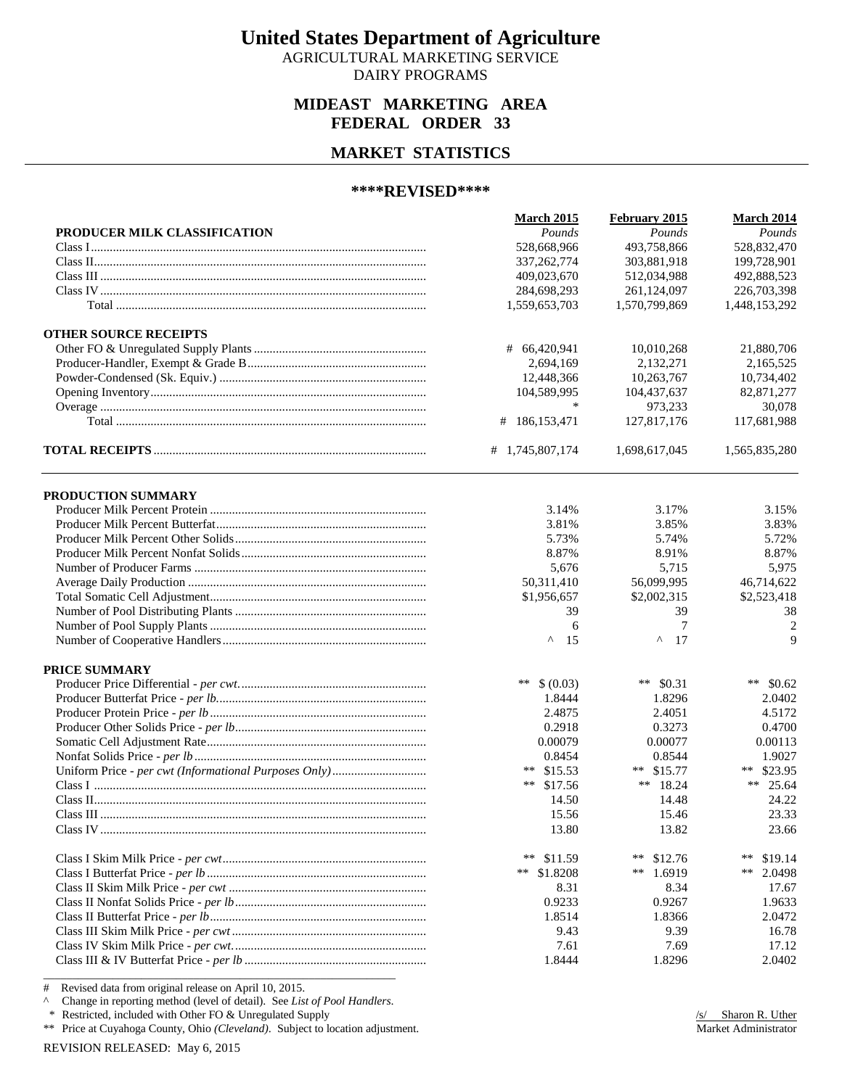AGRICULTURAL MARKETING SERVICE DAIRY PROGRAMS

#### **MIDEAST MARKETING AREA FEDERAL ORDER 33**

#### **MARKET STATISTICS**

#### **\*\*\*\*REVISED\*\*\*\***

|                              | <b>March 2015</b> | February 2015 | <b>March 2014</b> |
|------------------------------|-------------------|---------------|-------------------|
| PRODUCER MILK CLASSIFICATION | Pounds            | Pounds        | Pounds            |
|                              | 528,668,966       | 493,758,866   | 528,832,470       |
|                              | 337, 262, 774     | 303,881,918   | 199,728,901       |
|                              | 409,023,670       | 512,034,988   | 492,888,523       |
|                              | 284,698,293       | 261,124,097   | 226,703,398       |
|                              | 1,559,653,703     | 1,570,799,869 | 1,448,153,292     |
| <b>OTHER SOURCE RECEIPTS</b> |                   |               |                   |
|                              | # 66,420,941      | 10,010,268    | 21,880,706        |
|                              | 2,694,169         | 2,132,271     | 2,165,525         |
|                              | 12,448,366        | 10,263,767    | 10,734,402        |
|                              | 104,589,995       | 104,437,637   | 82,871,277        |
|                              | $\ast$            | 973,233       | 30,078            |
|                              | 186, 153, 471     | 127,817,176   | 117,681,988       |
|                              | # 1,745,807,174   | 1,698,617,045 | 1,565,835,280     |
| PRODUCTION SUMMARY           |                   |               |                   |
|                              | 3.14%             | 3.17%         | 3.15%             |
|                              | 3.81%             | 3.85%         | 3.83%             |
|                              | 5.73%             | 5.74%         | 5.72%             |
|                              | 8.87%             | 8.91%         | 8.87%             |
|                              | 5,676             | 5,715         | 5,975             |
|                              | 50,311,410        | 56,099,995    | 46,714,622        |
|                              | \$1,956,657       | \$2,002,315   | \$2,523,418       |
|                              | 39                | 39            | 38                |
|                              | 6                 | 7             | $\overline{2}$    |
|                              | Λ<br>15           | ۸<br>17       | 9                 |
| PRICE SUMMARY                |                   |               |                   |
|                              | **<br>\$ (0.03)   | ** $$0.31$    | ** $$0.62$        |
|                              | 1.8444            | 1.8296        | 2.0402            |
|                              | 2.4875            | 2.4051        | 4.5172            |
|                              | 0.2918            | 0.3273        | 0.4700            |
|                              | 0.00079           | 0.00077       | 0.00113           |
|                              | 0.8454            | 0.8544        | 1.9027            |
|                              | ** $$15.53$       | \$15.77<br>** | ** \$23.95        |
|                              | $***$<br>\$17.56  | ** $18.24$    | **<br>25.64       |
|                              | 14.50             | 14.48         | 24.22             |
|                              | 15.56             | 15.46         | 23.33             |
|                              | 13.80             | 13.82         | 23.66             |
|                              | **<br>\$11.59     | **<br>\$12.76 | $***$<br>\$19.14  |
|                              | **<br>\$1.8208    | 1.6919<br>**  | **<br>2.0498      |
|                              | 8.31              | 8.34          | 17.67             |
|                              | 0.9233            | 0.9267        | 1.9633            |
|                              | 1.8514            | 1.8366        | 2.0472            |
|                              | 9.43              | 9.39          | 16.78             |
|                              | 7.61              | 7.69          | 17.12             |
|                              | 1.8444            | 1.8296        | 2.0402            |

# Revised data from original release on April 10, 2015.

^ Change in reporting method (level of detail). See *List of Pool Handlers*.

\* Restricted, included with Other FO & Unregulated Supply

\*\* Price at Cuyahoga County, Ohio *(Cleveland)*. Subject to location adjustment.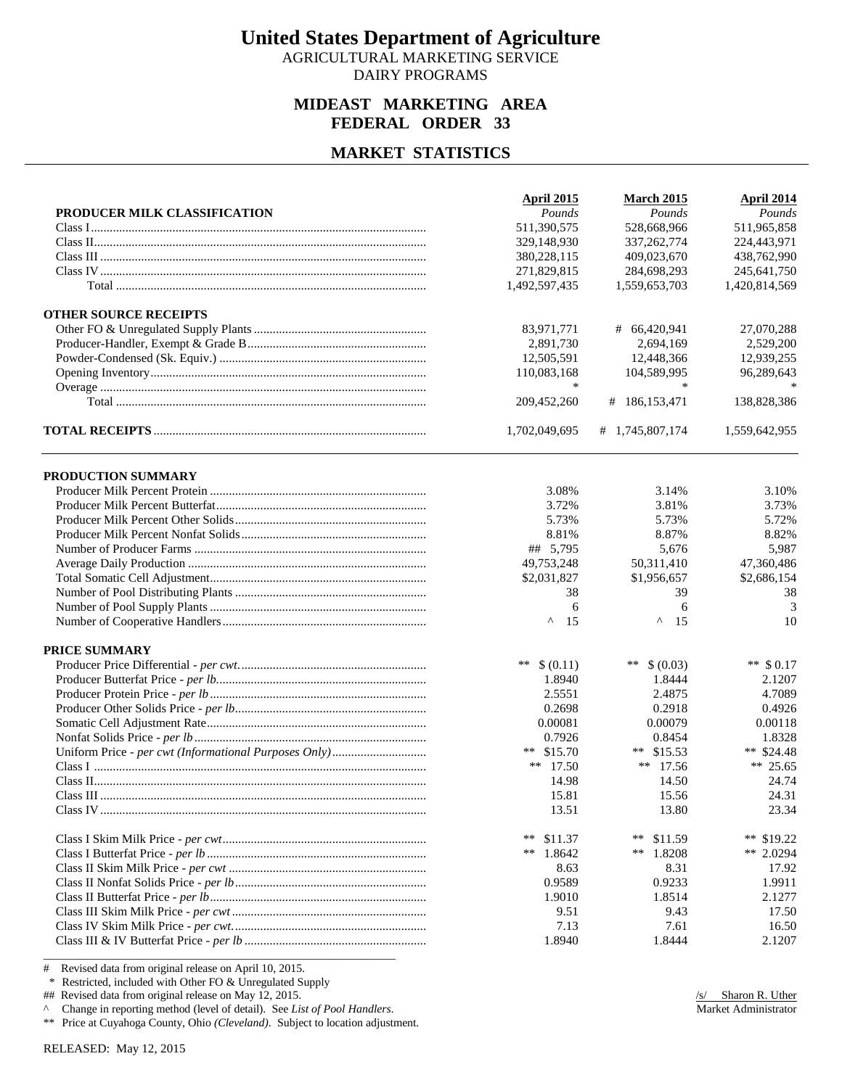AGRICULTURAL MARKETING SERVICE DAIRY PROGRAMS

#### **MIDEAST MARKETING AREA FEDERAL ORDER 33**

#### **MARKET STATISTICS**

|                              | April 2015     | <b>March 2015</b> | <b>April 2014</b> |
|------------------------------|----------------|-------------------|-------------------|
| PRODUCER MILK CLASSIFICATION | Pounds         | Pounds            | Pounds            |
|                              | 511,390,575    | 528,668,966       | 511,965,858       |
|                              | 329,148,930    | 337, 262, 774     | 224,443,971       |
|                              | 380,228,115    | 409,023,670       | 438,762,990       |
|                              | 271,829,815    | 284,698,293       | 245,641,750       |
|                              | 1,492,597,435  | 1,559,653,703     | 1,420,814,569     |
| <b>OTHER SOURCE RECEIPTS</b> |                |                   |                   |
|                              | 83,971,771     | # 66,420,941      | 27,070,288        |
|                              | 2,891,730      | 2,694,169         | 2,529,200         |
|                              | 12,505,591     | 12,448,366        | 12,939,255        |
|                              | 110,083,168    | 104,589,995       | 96,289,643        |
|                              | $\ast$         |                   |                   |
|                              | 209,452,260    | # 186,153,471     | 138,828,386       |
|                              | 1,702,049,695  | # 1,745,807,174   | 1,559,642,955     |
| PRODUCTION SUMMARY           |                |                   |                   |
|                              | 3.08%          | 3.14%             | 3.10%             |
|                              | 3.72%          | 3.81%             | 3.73%             |
|                              | 5.73%          | 5.73%             | 5.72%             |
|                              | 8.81%          | 8.87%             | 8.82%             |
|                              | ## 5,795       | 5,676             | 5,987             |
|                              | 49,753,248     | 50,311,410        | 47,360,486        |
|                              | \$2,031,827    | \$1,956,657       | \$2,686,154       |
|                              | 38             | 39                | 38                |
|                              | 6              | 6                 | 3                 |
|                              | $\wedge$<br>15 | Λ<br>15           | 10                |
| PRICE SUMMARY                |                |                   |                   |
|                              | ** $$ (0.11)$  | **<br>\$ (0.03)   | ** $$0.17$        |
|                              | 1.8940         | 1.8444            | 2.1207            |
|                              | 2.5551         | 2.4875            | 4.7089            |
|                              | 0.2698         | 0.2918            | 0.4926            |
|                              | 0.00081        | 0.00079           | 0.00118           |
|                              | 0.7926         | 0.8454            | 1.8328            |
|                              | ** $$15.70$    | ** $$15.53$       | ** $$24.48$       |
|                              | ** $17.50$     | $**$ 17.56        | ** 25.65          |
|                              | 14.98          | 14.50             | 24.74             |
|                              | 15.81          | 15.56             | 24.31             |
|                              | 13.51          | 13.80             | 23.34             |
|                              | **<br>\$11.37  | **<br>\$11.59     | ** \$19.22        |
|                              | **<br>1.8642   | **<br>1.8208      | ** 2.0294         |
|                              | 8.63           | 8.31              | 17.92             |
|                              | 0.9589         | 0.9233            | 1.9911            |
|                              | 1.9010         | 1.8514            | 2.1277            |
|                              | 9.51           | 9.43              | 17.50             |
|                              | 7.13           | 7.61              | 16.50             |
|                              | 1.8940         | 1.8444            | 2.1207            |

# Revised data from original release on April 10, 2015.

\* Restricted, included with Other FO & Unregulated Supply

## Revised data from original release on May 12, 2015.

^ Change in reporting method (level of detail). See *List of Pool Handlers*.

\*\* Price at Cuyahoga County, Ohio *(Cleveland)*. Subject to location adjustment.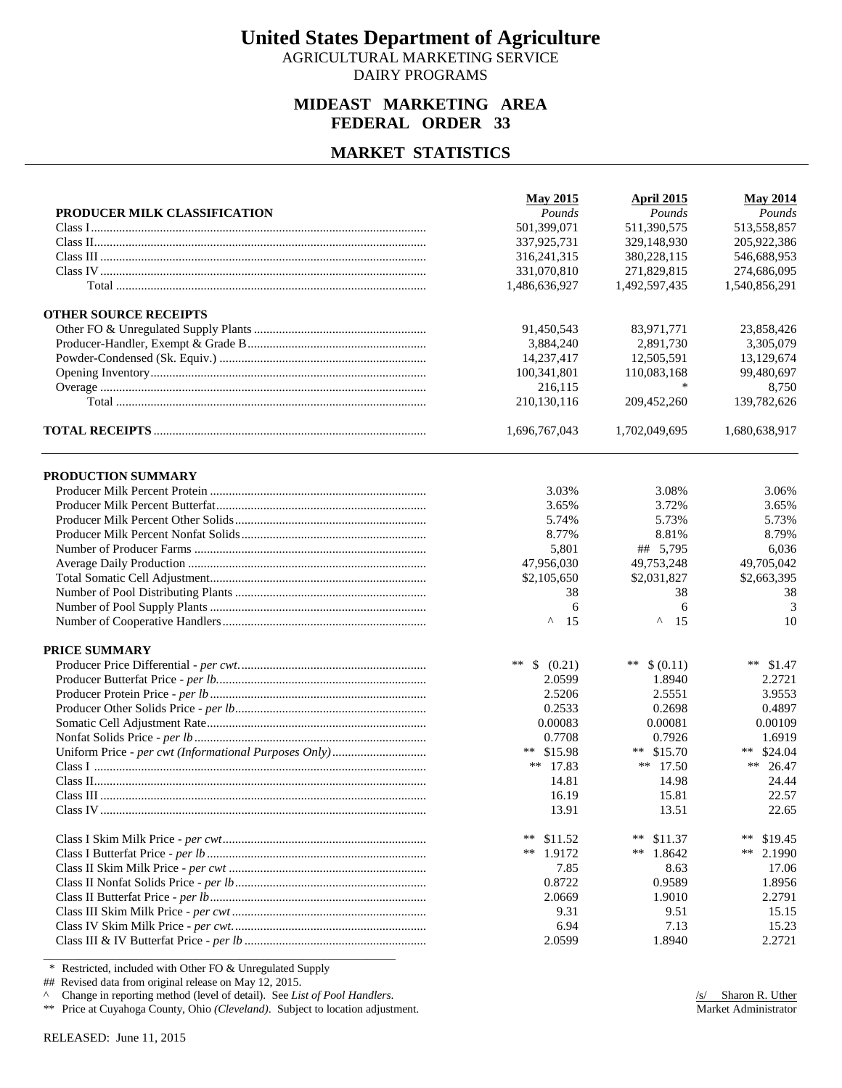AGRICULTURAL MARKETING SERVICE DAIRY PROGRAMS

#### **MIDEAST MARKETING AREA FEDERAL ORDER 33**

#### **MARKET STATISTICS**

|                              | <b>May 2015</b>    | <b>April 2015</b> | <b>May 2014</b> |
|------------------------------|--------------------|-------------------|-----------------|
| PRODUCER MILK CLASSIFICATION | Pounds             | Pounds            | Pounds          |
|                              | 501,399,071        | 511,390,575       | 513,558,857     |
|                              | 337,925,731        | 329,148,930       | 205,922,386     |
|                              | 316, 241, 315      | 380,228,115       | 546,688,953     |
|                              | 331,070,810        | 271,829,815       | 274,686,095     |
|                              | 1,486,636,927      | 1,492,597,435     | 1,540,856,291   |
| <b>OTHER SOURCE RECEIPTS</b> |                    |                   |                 |
|                              | 91,450,543         | 83,971,771        | 23,858,426      |
|                              | 3,884,240          | 2,891,730         | 3,305,079       |
|                              | 14,237,417         | 12,505,591        | 13,129,674      |
|                              | 100,341,801        | 110,083,168       | 99,480,697      |
|                              | 216,115            |                   | 8,750           |
|                              | 210,130,116        | 209,452,260       | 139,782,626     |
|                              | 1,696,767,043      | 1,702,049,695     | 1,680,638,917   |
| PRODUCTION SUMMARY           |                    |                   |                 |
|                              | 3.03%              | 3.08%             | 3.06%           |
|                              | 3.65%              | 3.72%             | 3.65%           |
|                              | 5.74%              | 5.73%             | 5.73%           |
|                              | 8.77%              | 8.81%             | 8.79%           |
|                              | 5,801              | ## 5,795          | 6,036           |
|                              | 47,956,030         | 49,753,248        | 49,705,042      |
|                              | \$2,105,650        | \$2,031,827       | \$2,663,395     |
|                              | 38                 | 38                | 38              |
|                              | 6                  | 6                 | 3               |
|                              | $\wedge$<br>15     | Λ<br>15           | 10              |
| PRICE SUMMARY                |                    |                   |                 |
|                              | $***$<br>\$ (0.21) | **<br>\$ (0.11)   | ** $$1.47$      |
|                              | 2.0599             | 1.8940            | 2.2721          |
|                              | 2.5206             | 2.5551            | 3.9553          |
|                              | 0.2533             | 0.2698            | 0.4897          |
|                              | 0.00083            | 0.00081           | 0.00109         |
|                              | 0.7708             | 0.7926            | 1.6919          |
|                              | ** $$15.98$        | ** $$15.70$       | ** $$24.04$     |
|                              | ** $17.83$         | ** $17.50$        | **<br>26.47     |
|                              | 14.81              | 14.98             | 24.44           |
|                              | 16.19              | 15.81             | 22.57           |
|                              | 13.91              | 13.51             | 22.65           |
|                              | **<br>\$11.52      | **<br>\$11.37     | **<br>\$19.45   |
|                              | 1.9172<br>**       | **<br>1.8642      | **<br>2.1990    |
|                              | 7.85               | 8.63              | 17.06           |
|                              | 0.8722             | 0.9589            | 1.8956          |
|                              | 2.0669             | 1.9010            | 2.2791          |
|                              | 9.31               | 9.51              | 15.15           |
|                              | 6.94               | 7.13              | 15.23           |
|                              | 2.0599             | 1.8940            | 2.2721          |

\* Restricted, included with Other FO & Unregulated Supply

## Revised data from original release on May 12, 2015.

^ Change in reporting method (level of detail). See *List of Pool Handlers*.

\*\* Price at Cuyahoga County, Ohio *(Cleveland)*. Subject to location adjustment.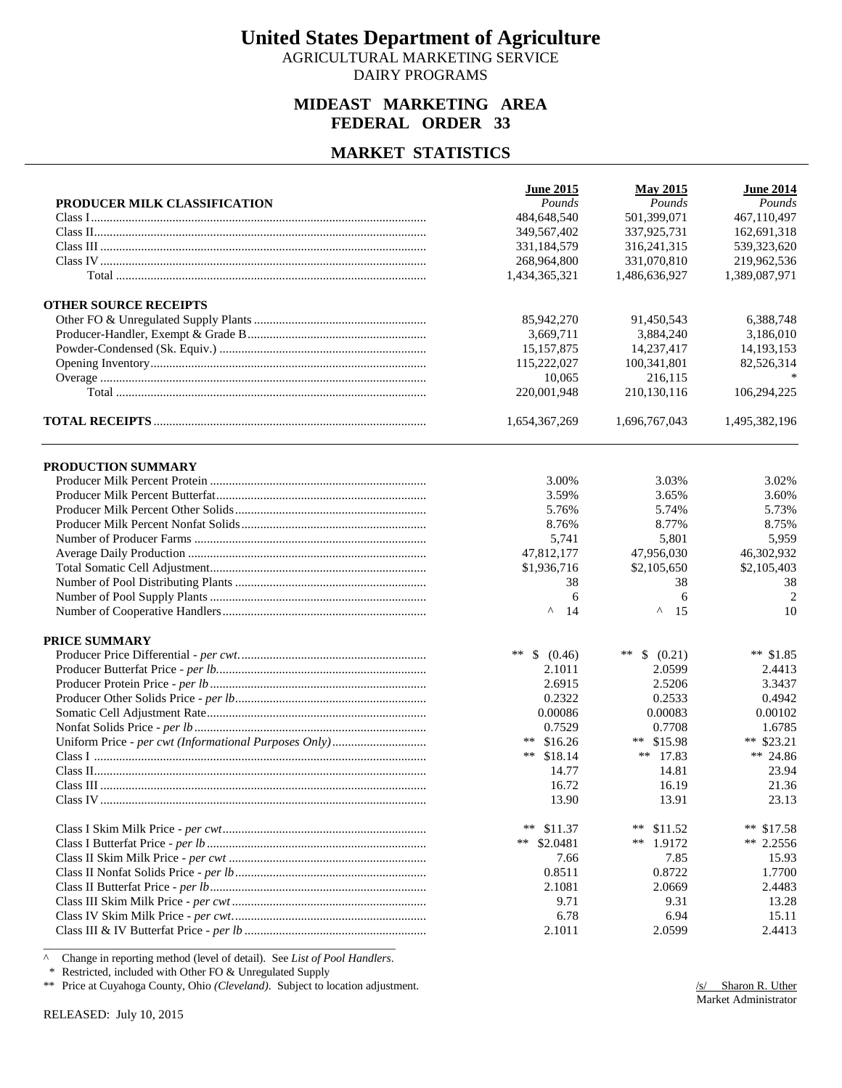AGRICULTURAL MARKETING SERVICE DAIRY PROGRAMS

#### **MIDEAST MARKETING AREA FEDERAL ORDER 33**

#### **MARKET STATISTICS**

|                              | <b>June 2015</b> | <b>May 2015</b>    | <b>June 2014</b> |
|------------------------------|------------------|--------------------|------------------|
| PRODUCER MILK CLASSIFICATION | Pounds           | Pounds             | Pounds           |
|                              | 484,648,540      | 501,399,071        | 467,110,497      |
|                              | 349,567,402      | 337,925,731        | 162,691,318      |
|                              | 331,184,579      | 316, 241, 315      | 539,323,620      |
|                              | 268,964,800      | 331,070,810        | 219,962,536      |
|                              | 1,434,365,321    | 1,486,636,927      | 1,389,087,971    |
| <b>OTHER SOURCE RECEIPTS</b> |                  |                    |                  |
|                              | 85,942,270       | 91,450,543         | 6,388,748        |
|                              | 3,669,711        | 3,884,240          | 3,186,010        |
|                              | 15,157,875       | 14,237,417         | 14, 193, 153     |
|                              | 115,222,027      | 100,341,801        | 82,526,314       |
|                              | 10,065           | 216,115            |                  |
|                              | 220,001,948      | 210,130,116        | 106,294,225      |
|                              | 1,654,367,269    | 1,696,767,043      | 1,495,382,196    |
| PRODUCTION SUMMARY           |                  |                    |                  |
|                              | 3.00%            | 3.03%              | 3.02%            |
|                              | 3.59%            | 3.65%              | 3.60%            |
|                              | 5.76%            | 5.74%              | 5.73%            |
|                              | 8.76%            | 8.77%              | 8.75%            |
|                              | 5,741            | 5,801              | 5,959            |
|                              | 47,812,177       | 47,956,030         | 46,302,932       |
|                              | \$1,936,716      | \$2,105,650        | \$2,105,403      |
|                              | 38               | 38                 | 38               |
|                              | 6                | 6                  | $\overline{2}$   |
|                              | ۸<br>14          | ۸<br>15            | 10               |
| <b>PRICE SUMMARY</b>         |                  |                    |                  |
|                              | **<br>\$ (0.46)  | $***$<br>\$ (0.21) | ** $$1.85$       |
|                              | 2.1011           | 2.0599             | 2.4413           |
|                              | 2.6915           | 2.5206             | 3.3437           |
|                              | 0.2322           | 0.2533             | 0.4942           |
|                              | 0.00086          | 0.00083            | 0.00102          |
|                              | 0.7529           | 0.7708             | 1.6785           |
|                              | **<br>\$16.26    | ** $$15.98$        | ** $$23.21$      |
|                              | **<br>\$18.14    | ** $17.83$         | ** 24.86         |
|                              | 14.77            | 14.81              | 23.94            |
|                              | 16.72            | 16.19              | 21.36            |
|                              | 13.90            | 13.91              | 23.13            |
|                              | $***$<br>\$11.37 | **<br>\$11.52      | **<br>\$17.58    |
|                              | **<br>\$2.0481   | ** $1.9172$        | $** 2.2556$      |
|                              | 7.66             | 7.85               | 15.93            |
|                              | 0.8511           | 0.8722             | 1.7700           |
|                              | 2.1081           | 2.0669             | 2.4483           |
|                              | 9.71             | 9.31               | 13.28            |
|                              | 6.78             | 6.94               | 15.11            |
|                              | 2.1011           | 2.0599             | 2.4413           |

^ Change in reporting method (level of detail). See *List of Pool Handlers*.

\* Restricted, included with Other FO & Unregulated Supply

\*\* Price at Cuyahoga County, Ohio *(Cleveland)*. Subject to location adjustment.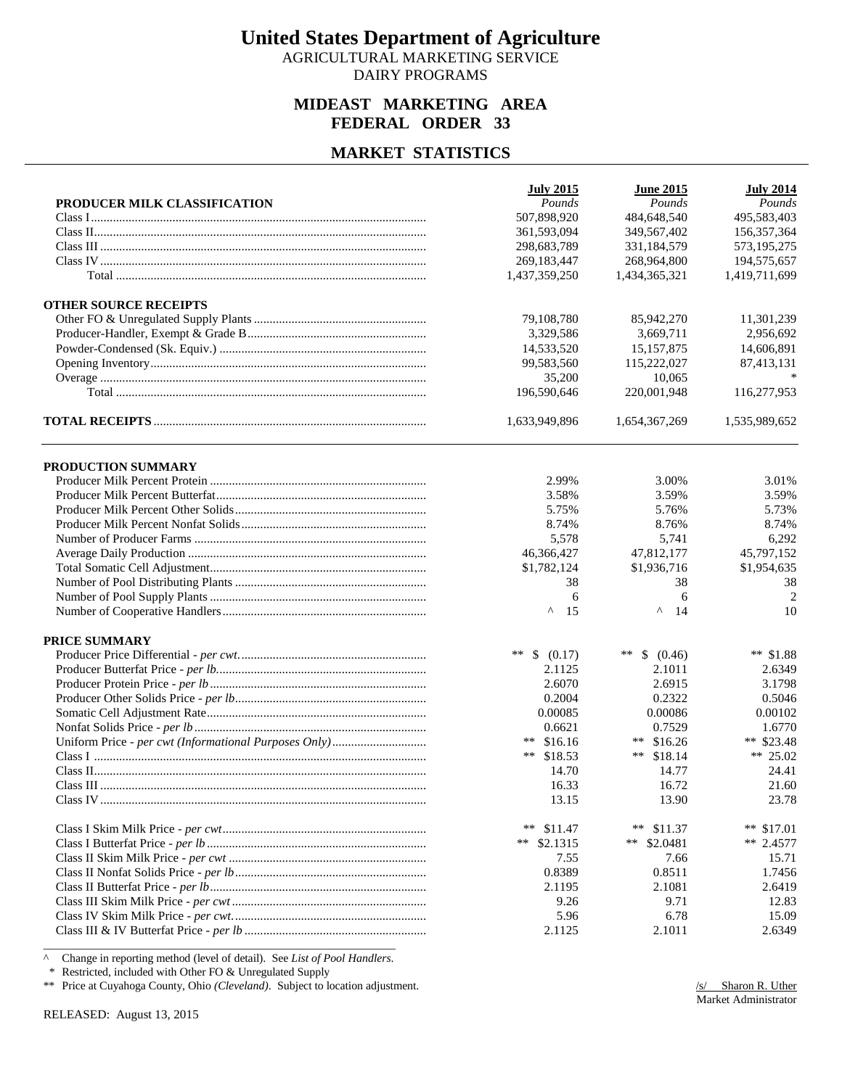AGRICULTURAL MARKETING SERVICE DAIRY PROGRAMS

#### **MIDEAST MARKETING AREA FEDERAL ORDER 33**

#### **MARKET STATISTICS**

|                              | <b>July 2015</b>   | <b>June 2015</b> | <b>July 2014</b> |
|------------------------------|--------------------|------------------|------------------|
| PRODUCER MILK CLASSIFICATION | Pounds             | Pounds           | Pounds           |
|                              | 507,898,920        | 484,648,540      | 495,583,403      |
|                              | 361,593,094        | 349,567,402      | 156,357,364      |
|                              | 298,683,789        | 331,184,579      | 573,195,275      |
|                              | 269,183,447        | 268,964,800      | 194,575,657      |
|                              | 1,437,359,250      | 1,434,365,321    | 1,419,711,699    |
| <b>OTHER SOURCE RECEIPTS</b> |                    |                  |                  |
|                              | 79,108,780         | 85,942,270       | 11,301,239       |
|                              | 3.329.586          | 3.669.711        | 2,956,692        |
|                              | 14,533,520         | 15, 157, 875     | 14,606,891       |
|                              | 99,583,560         | 115,222,027      | 87,413,131       |
|                              | 35,200             | 10,065           |                  |
|                              | 196,590,646        | 220,001,948      | 116,277,953      |
|                              | 1,633,949,896      | 1,654,367,269    | 1,535,989,652    |
| PRODUCTION SUMMARY           |                    |                  |                  |
|                              | 2.99%              | 3.00%            | 3.01%            |
|                              | 3.58%              | 3.59%            | 3.59%            |
|                              | 5.75%              | 5.76%            | 5.73%            |
|                              | 8.74%              | 8.76%            | 8.74%            |
|                              | 5,578              | 5,741            | 6,292            |
|                              | 46,366,427         | 47,812,177       | 45,797,152       |
|                              | \$1,782,124        | \$1,936,716      | \$1,954,635      |
|                              | 38                 | 38               | 38               |
|                              | 6                  | 6                | $\overline{2}$   |
|                              | ۸<br>15            | ۸<br>14          | 10               |
| <b>PRICE SUMMARY</b>         |                    |                  |                  |
|                              | $***$<br>\$ (0.17) | **<br>\$ (0.46)  | ** $$1.88$       |
|                              | 2.1125             | 2.1011           | 2.6349           |
|                              | 2.6070             | 2.6915           | 3.1798           |
|                              | 0.2004             | 0.2322           | 0.5046           |
|                              | 0.00085            | 0.00086          | 0.00102          |
|                              | 0.6621             | 0.7529           | 1.6770           |
|                              | ** $$16.16$        | ** $$16.26$      | ** \$23.48       |
|                              | **<br>\$18.53      | **<br>\$18.14    | ** 25.02         |
|                              | 14.70              | 14.77            | 24.41            |
|                              | 16.33              | 16.72            | 21.60            |
|                              | 13.15              | 13.90            | 23.78            |
|                              | **<br>\$11.47      | $***$<br>\$11.37 | **<br>\$17.01    |
|                              | **<br>\$2.1315     | ** $$2.0481$     | $** 2.4577$      |
|                              | 7.55               | 7.66             | 15.71            |
|                              | 0.8389             | 0.8511           | 1.7456           |
|                              | 2.1195             | 2.1081           | 2.6419           |
|                              | 9.26               | 9.71             | 12.83            |
|                              | 5.96               | 6.78             | 15.09            |
|                              | 2.1125             | 2.1011           | 2.6349           |

^ Change in reporting method (level of detail). See *List of Pool Handlers*.

\* Restricted, included with Other FO & Unregulated Supply

\*\* Price at Cuyahoga County, Ohio *(Cleveland)*. Subject to location adjustment.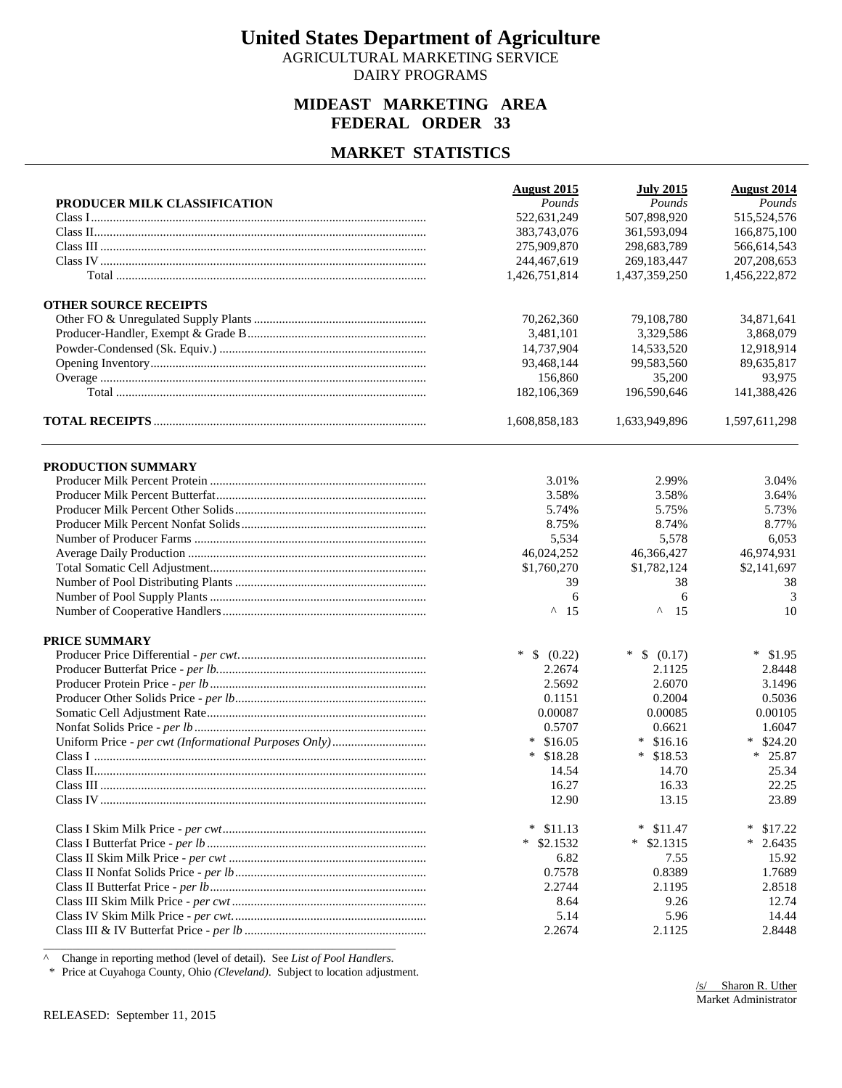AGRICULTURAL MARKETING SERVICE DAIRY PROGRAMS

#### **MIDEAST MARKETING AREA FEDERAL ORDER 33**

#### **MARKET STATISTICS**

|                              | <b>August 2015</b>  | <b>July 2015</b>  | <b>August 2014</b> |
|------------------------------|---------------------|-------------------|--------------------|
| PRODUCER MILK CLASSIFICATION | Pounds              | Pounds            | Pounds             |
|                              | 522,631,249         | 507,898,920       | 515,524,576        |
|                              | 383,743,076         | 361,593,094       | 166,875,100        |
|                              | 275,909,870         | 298,683,789       | 566,614,543        |
|                              | 244,467,619         | 269,183,447       | 207, 208, 653      |
|                              | 1,426,751,814       | 1,437,359,250     | 1,456,222,872      |
| <b>OTHER SOURCE RECEIPTS</b> |                     |                   |                    |
|                              | 70,262,360          | 79,108,780        | 34,871,641         |
|                              | 3,481,101           | 3,329,586         | 3,868,079          |
|                              | 14.737.904          | 14,533,520        | 12,918,914         |
|                              | 93,468,144          | 99,583,560        | 89,635,817         |
|                              | 156,860             | 35,200            | 93,975             |
|                              | 182,106,369         | 196,590,646       | 141,388,426        |
|                              | 1,608,858,183       | 1,633,949,896     | 1,597,611,298      |
| PRODUCTION SUMMARY           |                     |                   |                    |
|                              | 3.01%               | 2.99%             | 3.04%              |
|                              | 3.58%               | 3.58%             | 3.64%              |
|                              | 5.74%               | 5.75%             | 5.73%              |
|                              | 8.75%               | 8.74%             | 8.77%              |
|                              | 5,534               | 5,578             | 6,053              |
|                              | 46,024,252          | 46,366,427        | 46,974,931         |
|                              | \$1,760,270         | \$1,782,124       | \$2,141,697        |
|                              | 39                  | 38                | 38                 |
|                              | 6                   | 6                 | 3                  |
|                              | $^{\wedge}$ 15      | Λ<br>15           | 10                 |
| <b>PRICE SUMMARY</b>         |                     |                   |                    |
|                              | $\ast$<br>\$ (0.22) | $*$ \$ (0.17)     | $*$ \$1.95         |
|                              | 2.2674              | 2.1125            | 2.8448             |
|                              | 2.5692              | 2.6070            | 3.1496             |
|                              | 0.1151              | 0.2004            | 0.5036             |
|                              | 0.00087             | 0.00085           | 0.00105            |
|                              | 0.5707              | 0.6621            | 1.6047             |
|                              | $*$ \$16.05         | $*$ \$16.16       | \$24.20<br>$\ast$  |
|                              | $*$ \$18.28         | $*$ \$18.53       | $* 25.87$          |
|                              | 14.54               | 14.70             | 25.34              |
|                              | 16.27               | 16.33             | 22.25              |
|                              | 12.90               | 13.15             | 23.89              |
|                              | $*$ \$11.13         | \$11.47<br>$\ast$ | ∗<br>\$17.22       |
|                              | $*$ \$2.1532        | $*$ \$2.1315      | $*$ 2.6435         |
|                              | 6.82                | 7.55              | 15.92              |
|                              | 0.7578              | 0.8389            | 1.7689             |
|                              | 2.2744              | 2.1195            | 2.8518             |
|                              | 8.64                | 9.26              | 12.74              |
|                              | 5.14                | 5.96              | 14.44              |
|                              |                     |                   |                    |

^ Change in reporting method (level of detail). See *List of Pool Handlers*.

\* Price at Cuyahoga County, Ohio *(Cleveland)*. Subject to location adjustment.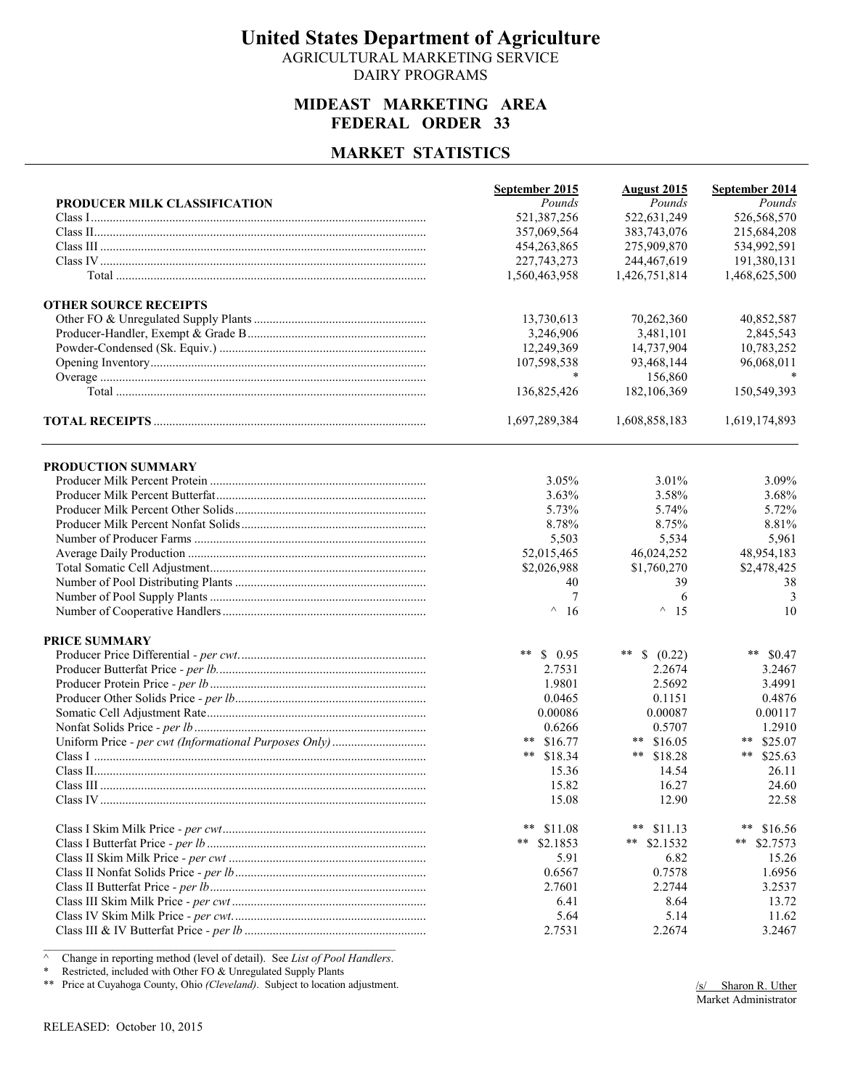AGRICULTURAL MARKETING SERVICE DAIRY PROGRAMS

#### **MIDEAST MARKETING AREA FEDERAL ORDER 33**

#### **MARKET STATISTICS**

|                              | September 2015 | <b>August 2015</b> | September 2014   |
|------------------------------|----------------|--------------------|------------------|
| PRODUCER MILK CLASSIFICATION | Pounds         | Pounds             | Pounds           |
|                              | 521,387,256    | 522,631,249        | 526,568,570      |
|                              | 357,069,564    | 383,743,076        | 215,684,208      |
|                              | 454,263,865    | 275,909,870        | 534,992,591      |
|                              | 227, 743, 273  | 244,467,619        | 191,380,131      |
|                              | 1,560,463,958  | 1,426,751,814      | 1,468,625,500    |
| <b>OTHER SOURCE RECEIPTS</b> |                |                    |                  |
|                              | 13,730,613     | 70,262,360         | 40,852,587       |
|                              | 3,246,906      | 3,481,101          | 2,845,543        |
|                              | 12,249,369     | 14,737,904         | 10,783,252       |
|                              | 107,598,538    | 93,468,144         | 96,068,011       |
|                              |                | 156,860            |                  |
|                              | 136,825,426    | 182,106,369        | 150,549,393      |
|                              | 1,697,289,384  | 1,608,858,183      | 1,619,174,893    |
| PRODUCTION SUMMARY           |                |                    |                  |
|                              | 3.05%          | 3.01%              | 3.09%            |
|                              | 3.63%          | 3.58%              | 3.68%            |
|                              | 5.73%          | 5.74%              | 5.72%            |
|                              | 8.78%          | 8.75%              | 8.81%            |
|                              | 5,503          | 5,534              | 5,961            |
|                              | 52,015,465     | 46,024,252         | 48,954,183       |
|                              | \$2,026,988    | \$1,760,270        | \$2,478,425      |
|                              | 40             | 39                 | 38               |
|                              | 7              | 6                  | 3                |
|                              | $^{\wedge}$ 16 | $^{\wedge}$ 15     | 10               |
|                              |                |                    |                  |
| <b>PRICE SUMMARY</b>         |                |                    |                  |
|                              | **<br>\$0.95   | ** $$ (0.22)$      | ** $$0.47$       |
|                              | 2.7531         | 2.2674             | 3.2467           |
|                              | 1.9801         | 2.5692             | 3.4991           |
|                              | 0.0465         | 0.1151             | 0.4876           |
|                              | 0.00086        | 0.00087            | 0.00117          |
|                              | 0.6266         | 0.5707             | 1.2910           |
|                              | ** $$16.77$    | ** $$16.05$        | ** $$25.07$      |
|                              | ** \$18.34     | ** $$18.28$        | \$25.63<br>**    |
|                              | 15.36          | 14.54              | 26.11            |
|                              | 15.82          | 16.27              | 24.60            |
|                              | 15.08          | 12.90              | 22.58            |
|                              | **<br>\$11.08  | ** $$11.13$        | $***$<br>\$16.56 |
|                              | **<br>\$2.1853 | ** $$2.1532$       | **<br>\$2.7573   |
|                              | 5.91           | 6.82               | 15.26            |
|                              | 0.6567         | 0.7578             | 1.6956           |
|                              | 2.7601         | 2.2744             | 3.2537           |
|                              | 6.41           | 8.64               | 13.72            |
|                              | 5.64           | 5.14               | 11.62            |
|                              | 2.7531         | 2.2674             | 3.2467           |

^ Change in reporting method (level of detail). See *List of Pool Handlers*.

\* Restricted, included with Other FO & Unregulated Supply Plants

\*\* Price at Cuyahoga County, Ohio *(Cleveland)*. Subject to location adjustment.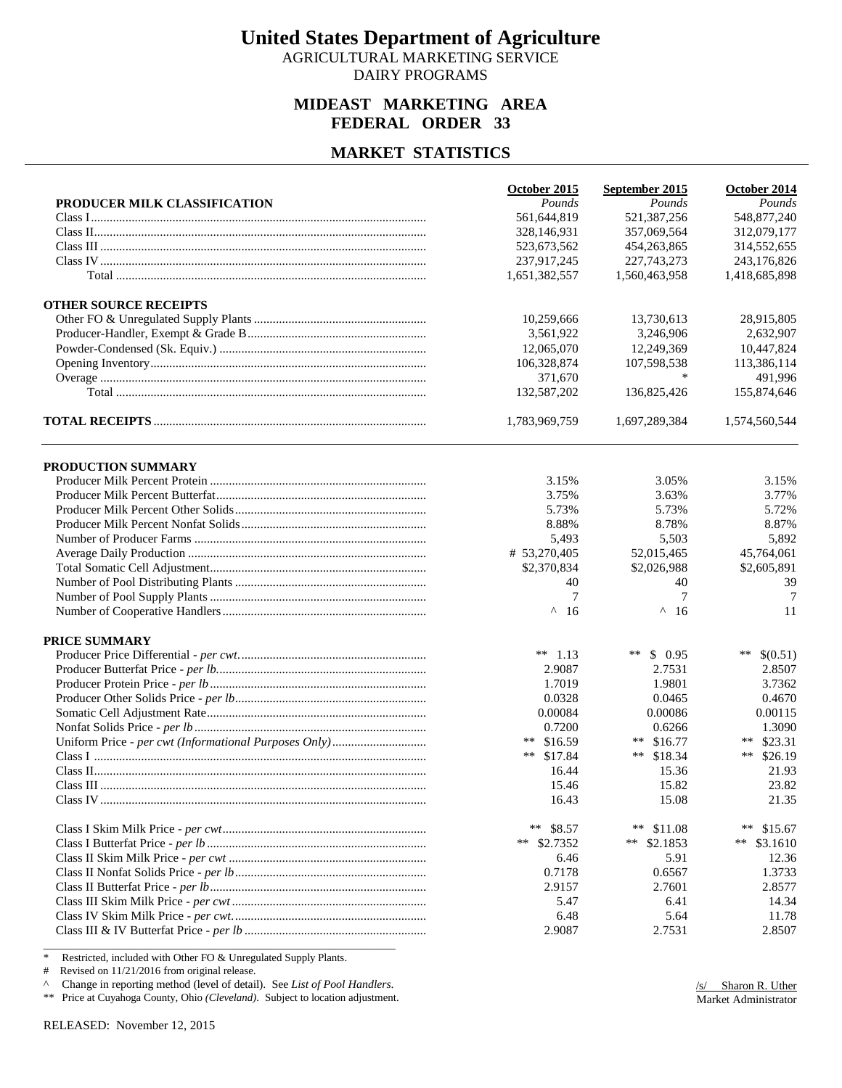AGRICULTURAL MARKETING SERVICE DAIRY PROGRAMS

#### **MIDEAST MARKETING AREA FEDERAL ORDER 33**

#### **MARKET STATISTICS**

| PRODUCER MILK CLASSIFICATION<br><b>OTHER SOURCE RECEIPTS</b> | Pounds<br>561,644,819<br>328,146,931<br>523,673,562<br>237,917,245<br>1,651,382,557<br>10,259,666<br>3,561,922<br>12,065,070 | Pounds<br>521,387,256<br>357,069,564<br>454,263,865<br>227, 743, 273<br>1,560,463,958<br>13,730,613 | Pounds<br>548,877,240<br>312,079,177<br>314,552,655<br>243,176,826<br>1,418,685,898 |
|--------------------------------------------------------------|------------------------------------------------------------------------------------------------------------------------------|-----------------------------------------------------------------------------------------------------|-------------------------------------------------------------------------------------|
|                                                              |                                                                                                                              |                                                                                                     |                                                                                     |
|                                                              |                                                                                                                              |                                                                                                     |                                                                                     |
|                                                              |                                                                                                                              |                                                                                                     |                                                                                     |
|                                                              |                                                                                                                              |                                                                                                     |                                                                                     |
|                                                              |                                                                                                                              |                                                                                                     |                                                                                     |
|                                                              |                                                                                                                              |                                                                                                     |                                                                                     |
|                                                              |                                                                                                                              |                                                                                                     |                                                                                     |
|                                                              |                                                                                                                              |                                                                                                     | 28,915,805                                                                          |
|                                                              |                                                                                                                              | 3,246,906                                                                                           | 2,632,907                                                                           |
|                                                              |                                                                                                                              | 12,249,369                                                                                          | 10,447,824                                                                          |
|                                                              | 106,328,874                                                                                                                  | 107,598,538                                                                                         | 113,386,114                                                                         |
|                                                              | 371,670                                                                                                                      | *                                                                                                   | 491,996                                                                             |
|                                                              | 132,587,202                                                                                                                  | 136,825,426                                                                                         | 155,874,646                                                                         |
|                                                              | 1,783,969,759                                                                                                                | 1,697,289,384                                                                                       | 1,574,560,544                                                                       |
| PRODUCTION SUMMARY                                           |                                                                                                                              |                                                                                                     |                                                                                     |
|                                                              | 3.15%                                                                                                                        | 3.05%                                                                                               | 3.15%                                                                               |
|                                                              | 3.75%                                                                                                                        | 3.63%                                                                                               | 3.77%                                                                               |
|                                                              | 5.73%                                                                                                                        | 5.73%                                                                                               | 5.72%                                                                               |
|                                                              | 8.88%                                                                                                                        | 8.78%                                                                                               | 8.87%                                                                               |
|                                                              | 5,493                                                                                                                        | 5,503                                                                                               | 5,892                                                                               |
|                                                              | # 53,270,405                                                                                                                 | 52,015,465                                                                                          | 45,764,061                                                                          |
|                                                              | \$2,370,834                                                                                                                  | \$2,026,988                                                                                         | \$2,605,891                                                                         |
|                                                              | 40                                                                                                                           | 40                                                                                                  | 39                                                                                  |
|                                                              | 7                                                                                                                            | 7                                                                                                   | 7                                                                                   |
|                                                              | $^{\wedge}$ 16                                                                                                               | $^{\wedge}$ 16                                                                                      | 11                                                                                  |
| <b>PRICE SUMMARY</b>                                         |                                                                                                                              |                                                                                                     |                                                                                     |
|                                                              | ** $1.13$                                                                                                                    | \$0.95<br>**                                                                                        | **<br>\$(0.51)                                                                      |
|                                                              | 2.9087                                                                                                                       | 2.7531                                                                                              | 2.8507                                                                              |
|                                                              | 1.7019                                                                                                                       | 1.9801                                                                                              | 3.7362                                                                              |
|                                                              | 0.0328                                                                                                                       | 0.0465                                                                                              | 0.4670                                                                              |
|                                                              | 0.00084                                                                                                                      | 0.00086                                                                                             | 0.00115                                                                             |
|                                                              | 0.7200                                                                                                                       | 0.6266                                                                                              | 1.3090                                                                              |
|                                                              | ** $$16.59$                                                                                                                  | ** $$16.77$                                                                                         | **<br>\$23.31                                                                       |
|                                                              | ** $$17.84$                                                                                                                  | ** $$18.34$                                                                                         | **<br>\$26.19                                                                       |
|                                                              | 16.44                                                                                                                        | 15.36                                                                                               | 21.93                                                                               |
|                                                              | 15.46                                                                                                                        | 15.82                                                                                               | 23.82                                                                               |
|                                                              | 16.43                                                                                                                        | 15.08                                                                                               | 21.35                                                                               |
|                                                              | $***$<br>\$8.57                                                                                                              | $***$<br>\$11.08                                                                                    | $\ast\ast$<br>\$15.67                                                               |
|                                                              | ** $$2.7352$                                                                                                                 | ** $$2.1853$                                                                                        | $***$<br>\$3.1610                                                                   |
|                                                              | 6.46                                                                                                                         | 5.91                                                                                                | 12.36                                                                               |
|                                                              | 0.7178                                                                                                                       | 0.6567                                                                                              | 1.3733                                                                              |
|                                                              | 2.9157                                                                                                                       | 2.7601                                                                                              | 2.8577                                                                              |
|                                                              | 5.47                                                                                                                         | 6.41                                                                                                | 14.34                                                                               |
|                                                              | 6.48                                                                                                                         | 5.64                                                                                                | 11.78                                                                               |
|                                                              | 2.9087                                                                                                                       | 2.7531                                                                                              | 2.8507                                                                              |

\* Restricted, included with Other FO & Unregulated Supply Plants.

# Revised on 11/21/2016 from original release.

^ Change in reporting method (level of detail). See *List of Pool Handlers*.

\*\* Price at Cuyahoga County, Ohio *(Cleveland)*. Subject to location adjustment.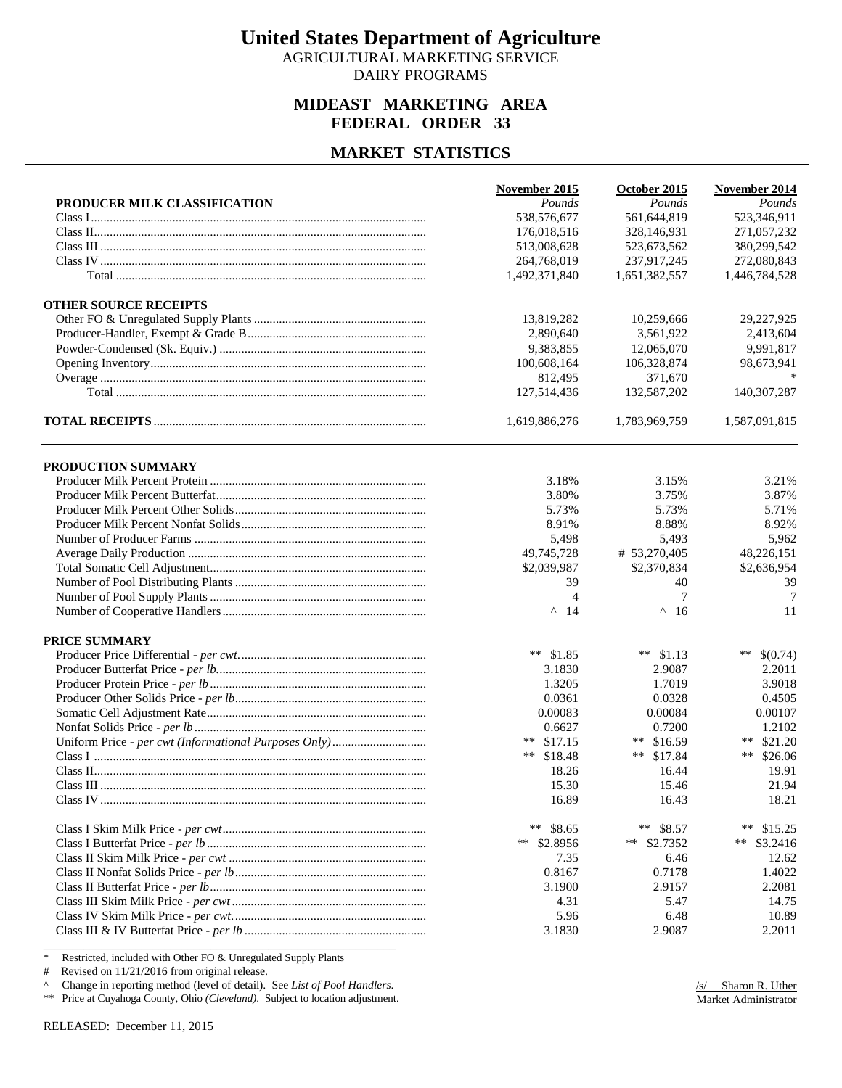AGRICULTURAL MARKETING SERVICE DAIRY PROGRAMS

#### **MIDEAST MARKETING AREA FEDERAL ORDER 33**

#### **MARKET STATISTICS**

| PRODUCER MILK CLASSIFICATION<br>Pounds<br>Pounds<br>538,576,677<br>561,644,819<br>523,346,911<br>271,057,232<br>176,018,516<br>328,146,931<br>513,008,628<br>523,673,562<br>380,299,542<br>237,917,245<br>272,080,843<br>264,768,019<br>1,492,371,840<br>1,651,382,557<br>1,446,784,528<br>13,819,282<br>10,259,666<br>29,227,925<br>2,890,640<br>3,561,922<br>2,413,604<br>9,383,855<br>12,065,070<br>9,991,817<br>100,608,164<br>106,328,874<br>98,673,941<br>812,495<br>371,670<br>127,514,436<br>132,587,202<br>140,307,287<br>1,619,886,276<br>1,587,091,815<br>1,783,969,759<br>PRODUCTION SUMMARY<br>3.18%<br>3.15%<br>3.21%<br>3.80%<br>3.75%<br>3.87%<br>5.73%<br>5.73%<br>5.71%<br>8.91%<br>8.88%<br>8.92%<br>5,498<br>5,493<br>5,962<br>49,745,728<br># 53,270,405<br>48,226,151<br>\$2,039,987<br>\$2,370,834<br>\$2,636,954<br>39<br>39<br>40<br>$\tau$<br>$\overline{4}$<br>7<br>$^{\wedge}$ 14<br>$\wedge$<br>-16<br>11<br><b>PRICE SUMMARY</b><br>** $$1.85$<br>** $$1.13$<br>**<br>\$(0.74)<br>2.2011<br>3.1830<br>2.9087<br>1.3205<br>1.7019<br>3.9018<br>0.0361<br>0.0328<br>0.4505<br>0.00084<br>0.00083<br>0.00107<br>0.6627<br>0.7200<br>1.2102<br>** \$16.59<br>\$21.20<br>** $$17.15$<br>$***$<br>** $$17.84$<br>** $$18.48$<br>**<br>\$26.06<br>18.26<br>16.44<br>19.91<br>15.30<br>15.46<br>21.94<br>18.21<br>16.89<br>16.43<br>**<br>\$8.65<br>**<br>\$8.57<br>$***$<br>\$15.25<br>** $$2.8956$<br>** $$2.7352$<br>**<br>\$3.2416<br>6.46<br>12.62<br>7.35<br>0.8167<br>0.7178<br>1.4022<br>3.1900<br>2.2081<br>2.9157<br>4.31<br>5.47<br>5.96<br>6.48<br>10.89<br>3.1830<br>2.9087<br>2.2011 |                              | <b>November 2015</b> | October 2015 | November 2014 |
|--------------------------------------------------------------------------------------------------------------------------------------------------------------------------------------------------------------------------------------------------------------------------------------------------------------------------------------------------------------------------------------------------------------------------------------------------------------------------------------------------------------------------------------------------------------------------------------------------------------------------------------------------------------------------------------------------------------------------------------------------------------------------------------------------------------------------------------------------------------------------------------------------------------------------------------------------------------------------------------------------------------------------------------------------------------------------------------------------------------------------------------------------------------------------------------------------------------------------------------------------------------------------------------------------------------------------------------------------------------------------------------------------------------------------------------------------------------------------------------------------------------------------------------------------------------------------------------------------------------------------|------------------------------|----------------------|--------------|---------------|
|                                                                                                                                                                                                                                                                                                                                                                                                                                                                                                                                                                                                                                                                                                                                                                                                                                                                                                                                                                                                                                                                                                                                                                                                                                                                                                                                                                                                                                                                                                                                                                                                                          |                              |                      |              | Pounds        |
|                                                                                                                                                                                                                                                                                                                                                                                                                                                                                                                                                                                                                                                                                                                                                                                                                                                                                                                                                                                                                                                                                                                                                                                                                                                                                                                                                                                                                                                                                                                                                                                                                          |                              |                      |              |               |
|                                                                                                                                                                                                                                                                                                                                                                                                                                                                                                                                                                                                                                                                                                                                                                                                                                                                                                                                                                                                                                                                                                                                                                                                                                                                                                                                                                                                                                                                                                                                                                                                                          |                              |                      |              |               |
|                                                                                                                                                                                                                                                                                                                                                                                                                                                                                                                                                                                                                                                                                                                                                                                                                                                                                                                                                                                                                                                                                                                                                                                                                                                                                                                                                                                                                                                                                                                                                                                                                          |                              |                      |              |               |
|                                                                                                                                                                                                                                                                                                                                                                                                                                                                                                                                                                                                                                                                                                                                                                                                                                                                                                                                                                                                                                                                                                                                                                                                                                                                                                                                                                                                                                                                                                                                                                                                                          |                              |                      |              |               |
|                                                                                                                                                                                                                                                                                                                                                                                                                                                                                                                                                                                                                                                                                                                                                                                                                                                                                                                                                                                                                                                                                                                                                                                                                                                                                                                                                                                                                                                                                                                                                                                                                          |                              |                      |              |               |
|                                                                                                                                                                                                                                                                                                                                                                                                                                                                                                                                                                                                                                                                                                                                                                                                                                                                                                                                                                                                                                                                                                                                                                                                                                                                                                                                                                                                                                                                                                                                                                                                                          | <b>OTHER SOURCE RECEIPTS</b> |                      |              |               |
|                                                                                                                                                                                                                                                                                                                                                                                                                                                                                                                                                                                                                                                                                                                                                                                                                                                                                                                                                                                                                                                                                                                                                                                                                                                                                                                                                                                                                                                                                                                                                                                                                          |                              |                      |              |               |
|                                                                                                                                                                                                                                                                                                                                                                                                                                                                                                                                                                                                                                                                                                                                                                                                                                                                                                                                                                                                                                                                                                                                                                                                                                                                                                                                                                                                                                                                                                                                                                                                                          |                              |                      |              |               |
|                                                                                                                                                                                                                                                                                                                                                                                                                                                                                                                                                                                                                                                                                                                                                                                                                                                                                                                                                                                                                                                                                                                                                                                                                                                                                                                                                                                                                                                                                                                                                                                                                          |                              |                      |              |               |
|                                                                                                                                                                                                                                                                                                                                                                                                                                                                                                                                                                                                                                                                                                                                                                                                                                                                                                                                                                                                                                                                                                                                                                                                                                                                                                                                                                                                                                                                                                                                                                                                                          |                              |                      |              |               |
|                                                                                                                                                                                                                                                                                                                                                                                                                                                                                                                                                                                                                                                                                                                                                                                                                                                                                                                                                                                                                                                                                                                                                                                                                                                                                                                                                                                                                                                                                                                                                                                                                          |                              |                      |              |               |
|                                                                                                                                                                                                                                                                                                                                                                                                                                                                                                                                                                                                                                                                                                                                                                                                                                                                                                                                                                                                                                                                                                                                                                                                                                                                                                                                                                                                                                                                                                                                                                                                                          |                              |                      |              |               |
|                                                                                                                                                                                                                                                                                                                                                                                                                                                                                                                                                                                                                                                                                                                                                                                                                                                                                                                                                                                                                                                                                                                                                                                                                                                                                                                                                                                                                                                                                                                                                                                                                          |                              |                      |              |               |
|                                                                                                                                                                                                                                                                                                                                                                                                                                                                                                                                                                                                                                                                                                                                                                                                                                                                                                                                                                                                                                                                                                                                                                                                                                                                                                                                                                                                                                                                                                                                                                                                                          |                              |                      |              |               |
|                                                                                                                                                                                                                                                                                                                                                                                                                                                                                                                                                                                                                                                                                                                                                                                                                                                                                                                                                                                                                                                                                                                                                                                                                                                                                                                                                                                                                                                                                                                                                                                                                          |                              |                      |              |               |
|                                                                                                                                                                                                                                                                                                                                                                                                                                                                                                                                                                                                                                                                                                                                                                                                                                                                                                                                                                                                                                                                                                                                                                                                                                                                                                                                                                                                                                                                                                                                                                                                                          |                              |                      |              |               |
|                                                                                                                                                                                                                                                                                                                                                                                                                                                                                                                                                                                                                                                                                                                                                                                                                                                                                                                                                                                                                                                                                                                                                                                                                                                                                                                                                                                                                                                                                                                                                                                                                          |                              |                      |              |               |
|                                                                                                                                                                                                                                                                                                                                                                                                                                                                                                                                                                                                                                                                                                                                                                                                                                                                                                                                                                                                                                                                                                                                                                                                                                                                                                                                                                                                                                                                                                                                                                                                                          |                              |                      |              |               |
|                                                                                                                                                                                                                                                                                                                                                                                                                                                                                                                                                                                                                                                                                                                                                                                                                                                                                                                                                                                                                                                                                                                                                                                                                                                                                                                                                                                                                                                                                                                                                                                                                          |                              |                      |              |               |
|                                                                                                                                                                                                                                                                                                                                                                                                                                                                                                                                                                                                                                                                                                                                                                                                                                                                                                                                                                                                                                                                                                                                                                                                                                                                                                                                                                                                                                                                                                                                                                                                                          |                              |                      |              |               |
|                                                                                                                                                                                                                                                                                                                                                                                                                                                                                                                                                                                                                                                                                                                                                                                                                                                                                                                                                                                                                                                                                                                                                                                                                                                                                                                                                                                                                                                                                                                                                                                                                          |                              |                      |              |               |
|                                                                                                                                                                                                                                                                                                                                                                                                                                                                                                                                                                                                                                                                                                                                                                                                                                                                                                                                                                                                                                                                                                                                                                                                                                                                                                                                                                                                                                                                                                                                                                                                                          |                              |                      |              |               |
|                                                                                                                                                                                                                                                                                                                                                                                                                                                                                                                                                                                                                                                                                                                                                                                                                                                                                                                                                                                                                                                                                                                                                                                                                                                                                                                                                                                                                                                                                                                                                                                                                          |                              |                      |              |               |
|                                                                                                                                                                                                                                                                                                                                                                                                                                                                                                                                                                                                                                                                                                                                                                                                                                                                                                                                                                                                                                                                                                                                                                                                                                                                                                                                                                                                                                                                                                                                                                                                                          |                              |                      |              |               |
|                                                                                                                                                                                                                                                                                                                                                                                                                                                                                                                                                                                                                                                                                                                                                                                                                                                                                                                                                                                                                                                                                                                                                                                                                                                                                                                                                                                                                                                                                                                                                                                                                          |                              |                      |              |               |
|                                                                                                                                                                                                                                                                                                                                                                                                                                                                                                                                                                                                                                                                                                                                                                                                                                                                                                                                                                                                                                                                                                                                                                                                                                                                                                                                                                                                                                                                                                                                                                                                                          |                              |                      |              |               |
|                                                                                                                                                                                                                                                                                                                                                                                                                                                                                                                                                                                                                                                                                                                                                                                                                                                                                                                                                                                                                                                                                                                                                                                                                                                                                                                                                                                                                                                                                                                                                                                                                          |                              |                      |              |               |
|                                                                                                                                                                                                                                                                                                                                                                                                                                                                                                                                                                                                                                                                                                                                                                                                                                                                                                                                                                                                                                                                                                                                                                                                                                                                                                                                                                                                                                                                                                                                                                                                                          |                              |                      |              |               |
|                                                                                                                                                                                                                                                                                                                                                                                                                                                                                                                                                                                                                                                                                                                                                                                                                                                                                                                                                                                                                                                                                                                                                                                                                                                                                                                                                                                                                                                                                                                                                                                                                          |                              |                      |              |               |
|                                                                                                                                                                                                                                                                                                                                                                                                                                                                                                                                                                                                                                                                                                                                                                                                                                                                                                                                                                                                                                                                                                                                                                                                                                                                                                                                                                                                                                                                                                                                                                                                                          |                              |                      |              |               |
|                                                                                                                                                                                                                                                                                                                                                                                                                                                                                                                                                                                                                                                                                                                                                                                                                                                                                                                                                                                                                                                                                                                                                                                                                                                                                                                                                                                                                                                                                                                                                                                                                          |                              |                      |              |               |
|                                                                                                                                                                                                                                                                                                                                                                                                                                                                                                                                                                                                                                                                                                                                                                                                                                                                                                                                                                                                                                                                                                                                                                                                                                                                                                                                                                                                                                                                                                                                                                                                                          |                              |                      |              |               |
|                                                                                                                                                                                                                                                                                                                                                                                                                                                                                                                                                                                                                                                                                                                                                                                                                                                                                                                                                                                                                                                                                                                                                                                                                                                                                                                                                                                                                                                                                                                                                                                                                          |                              |                      |              |               |
|                                                                                                                                                                                                                                                                                                                                                                                                                                                                                                                                                                                                                                                                                                                                                                                                                                                                                                                                                                                                                                                                                                                                                                                                                                                                                                                                                                                                                                                                                                                                                                                                                          |                              |                      |              |               |
|                                                                                                                                                                                                                                                                                                                                                                                                                                                                                                                                                                                                                                                                                                                                                                                                                                                                                                                                                                                                                                                                                                                                                                                                                                                                                                                                                                                                                                                                                                                                                                                                                          |                              |                      |              |               |
|                                                                                                                                                                                                                                                                                                                                                                                                                                                                                                                                                                                                                                                                                                                                                                                                                                                                                                                                                                                                                                                                                                                                                                                                                                                                                                                                                                                                                                                                                                                                                                                                                          |                              |                      |              |               |
|                                                                                                                                                                                                                                                                                                                                                                                                                                                                                                                                                                                                                                                                                                                                                                                                                                                                                                                                                                                                                                                                                                                                                                                                                                                                                                                                                                                                                                                                                                                                                                                                                          |                              |                      |              |               |
|                                                                                                                                                                                                                                                                                                                                                                                                                                                                                                                                                                                                                                                                                                                                                                                                                                                                                                                                                                                                                                                                                                                                                                                                                                                                                                                                                                                                                                                                                                                                                                                                                          |                              |                      |              |               |
|                                                                                                                                                                                                                                                                                                                                                                                                                                                                                                                                                                                                                                                                                                                                                                                                                                                                                                                                                                                                                                                                                                                                                                                                                                                                                                                                                                                                                                                                                                                                                                                                                          |                              |                      |              |               |
|                                                                                                                                                                                                                                                                                                                                                                                                                                                                                                                                                                                                                                                                                                                                                                                                                                                                                                                                                                                                                                                                                                                                                                                                                                                                                                                                                                                                                                                                                                                                                                                                                          |                              |                      |              |               |
|                                                                                                                                                                                                                                                                                                                                                                                                                                                                                                                                                                                                                                                                                                                                                                                                                                                                                                                                                                                                                                                                                                                                                                                                                                                                                                                                                                                                                                                                                                                                                                                                                          |                              |                      |              |               |
|                                                                                                                                                                                                                                                                                                                                                                                                                                                                                                                                                                                                                                                                                                                                                                                                                                                                                                                                                                                                                                                                                                                                                                                                                                                                                                                                                                                                                                                                                                                                                                                                                          |                              |                      |              |               |
|                                                                                                                                                                                                                                                                                                                                                                                                                                                                                                                                                                                                                                                                                                                                                                                                                                                                                                                                                                                                                                                                                                                                                                                                                                                                                                                                                                                                                                                                                                                                                                                                                          |                              |                      |              | 14.75         |
|                                                                                                                                                                                                                                                                                                                                                                                                                                                                                                                                                                                                                                                                                                                                                                                                                                                                                                                                                                                                                                                                                                                                                                                                                                                                                                                                                                                                                                                                                                                                                                                                                          |                              |                      |              |               |
|                                                                                                                                                                                                                                                                                                                                                                                                                                                                                                                                                                                                                                                                                                                                                                                                                                                                                                                                                                                                                                                                                                                                                                                                                                                                                                                                                                                                                                                                                                                                                                                                                          |                              |                      |              |               |

\* Restricted, included with Other FO & Unregulated Supply Plants

# Revised on 11/21/2016 from original release.

^ Change in reporting method (level of detail). See *List of Pool Handlers*.

\*\* Price at Cuyahoga County, Ohio *(Cleveland)*. Subject to location adjustment.